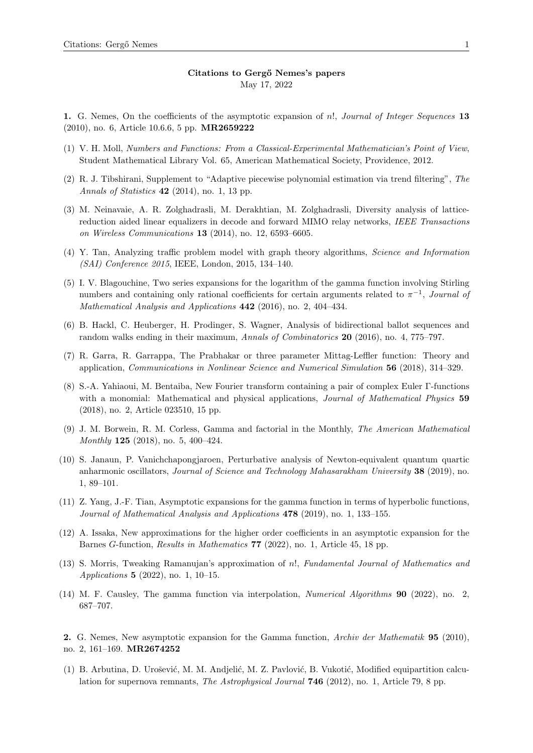1. G. Nemes, On the coefficients of the asymptotic expansion of n!, Journal of Integer Sequences 13 (2010), no. 6, Article 10.6.6, 5 pp. MR2659222

- (1) V. H. Moll, Numbers and Functions: From a Classical-Experimental Mathematician's Point of View, Student Mathematical Library Vol. 65, American Mathematical Society, Providence, 2012.
- (2) R. J. Tibshirani, Supplement to "Adaptive piecewise polynomial estimation via trend filtering", The Annals of Statistics 42 (2014), no. 1, 13 pp.
- (3) M. Neinavaie, A. R. Zolghadrasli, M. Derakhtian, M. Zolghadrasli, Diversity analysis of latticereduction aided linear equalizers in decode and forward MIMO relay networks, IEEE Transactions on Wireless Communications 13 (2014), no. 12, 6593–6605.
- (4) Y. Tan, Analyzing traffic problem model with graph theory algorithms, Science and Information (SAI) Conference 2015, IEEE, London, 2015, 134–140.
- (5) I. V. Blagouchine, Two series expansions for the logarithm of the gamma function involving Stirling numbers and containing only rational coefficients for certain arguments related to  $\pi^{-1}$ , Journal of Mathematical Analysis and Applications 442 (2016), no. 2, 404–434.
- (6) B. Hackl, C. Heuberger, H. Prodinger, S. Wagner, Analysis of bidirectional ballot sequences and random walks ending in their maximum, Annals of Combinatorics 20 (2016), no. 4, 775–797.
- (7) R. Garra, R. Garrappa, The Prabhakar or three parameter Mittag-Leffler function: Theory and application, Communications in Nonlinear Science and Numerical Simulation 56 (2018), 314–329.
- (8) S.-A. Yahiaoui, M. Bentaiba, New Fourier transform containing a pair of complex Euler Γ-functions with a monomial: Mathematical and physical applications, *Journal of Mathematical Physics* 59 (2018), no. 2, Article 023510, 15 pp.
- (9) J. M. Borwein, R. M. Corless, Gamma and factorial in the Monthly, The American Mathematical Monthly 125 (2018), no. 5, 400–424.
- (10) S. Janaun, P. Vanichchapongjaroen, Perturbative analysis of Newton-equivalent quantum quartic anharmonic oscillators, Journal of Science and Technology Mahasarakham University 38 (2019), no. 1, 89–101.
- (11) Z. Yang, J.-F. Tian, Asymptotic expansions for the gamma function in terms of hyperbolic functions, Journal of Mathematical Analysis and Applications **478** (2019), no. 1, 133–155.
- (12) A. Issaka, New approximations for the higher order coefficients in an asymptotic expansion for the Barnes G-function, Results in Mathematics 77 (2022), no. 1, Article 45, 18 pp.
- (13) S. Morris, Tweaking Ramanujan's approximation of n!, Fundamental Journal of Mathematics and Applications 5 (2022), no. 1, 10–15.
- (14) M. F. Causley, The gamma function via interpolation, Numerical Algorithms 90 (2022), no. 2, 687–707.

2. G. Nemes, New asymptotic expansion for the Gamma function, Archiv der Mathematik 95 (2010), no. 2, 161–169. MR2674252

(1) B. Arbutina, D. Urošević, M. M. Andjelić, M. Z. Pavlović, B. Vukotić, Modified equipartition calculation for supernova remnants, *The Astrophysical Journal* **746** (2012), no. 1, Article 79, 8 pp.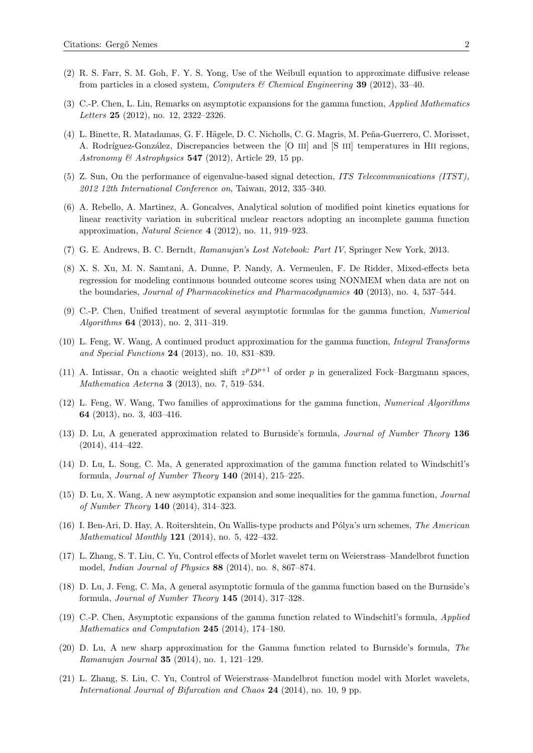- (2) R. S. Farr, S. M. Goh, F. Y. S. Yong, Use of the Weibull equation to approximate diffusive release from particles in a closed system, Computers & Chemical Engineering 39 (2012), 33–40.
- (3) C.-P. Chen, L. Lin, Remarks on asymptotic expansions for the gamma function, Applied Mathematics Letters 25 (2012), no. 12, 2322–2326.
- (4) L. Binette, R. Matadamas, G. F. Hägele, D. C. Nicholls, C. G. Magris, M. Peña-Guerrero, C. Morisset, A. Rodríguez-González, Discrepancies between the [O III] and [S III] temperatures in HII regions, Astronomy & Astrophysics  $547$  (2012), Article 29, 15 pp.
- (5) Z. Sun, On the performance of eigenvalue-based signal detection, ITS Telecommunications (ITST), 2012 12th International Conference on, Taiwan, 2012, 335–340.
- (6) A. Rebello, A. Martinez, A. Goncalves, Analytical solution of modified point kinetics equations for linear reactivity variation in subcritical nuclear reactors adopting an incomplete gamma function approximation, Natural Science 4 (2012), no. 11, 919–923.
- (7) G. E. Andrews, B. C. Berndt, Ramanujan's Lost Notebook: Part IV, Springer New York, 2013.
- (8) X. S. Xu, M. N. Samtani, A. Dunne, P. Nandy, A. Vermeulen, F. De Ridder, Mixed-effects beta regression for modeling continuous bounded outcome scores using NONMEM when data are not on the boundaries, Journal of Pharmacokinetics and Pharmacodynamics 40 (2013), no. 4, 537–544.
- (9) C.-P. Chen, Unified treatment of several asymptotic formulas for the gamma function, Numerical Algorithms 64 (2013), no. 2, 311–319.
- (10) L. Feng, W. Wang, A continued product approximation for the gamma function, Integral Transforms and Special Functions 24 (2013), no. 10, 831–839.
- (11) A. Intissar, On a chaotic weighted shift  $z^p D^{p+1}$  of order p in generalized Fock–Bargmann spaces, Mathematica Aeterna 3 (2013), no. 7, 519–534.
- (12) L. Feng, W. Wang, Two families of approximations for the gamma function, Numerical Algorithms 64 (2013), no. 3, 403–416.
- (13) D. Lu, A generated approximation related to Burnside's formula, Journal of Number Theory 136 (2014), 414–422.
- (14) D. Lu, L. Song, C. Ma, A generated approximation of the gamma function related to Windschitl's formula, Journal of Number Theory 140 (2014), 215–225.
- (15) D. Lu, X. Wang, A new asymptotic expansion and some inequalities for the gamma function, Journal of Number Theory 140 (2014), 314–323.
- (16) I. Ben-Ari, D. Hay, A. Roitershtein, On Wallis-type products and P´olya's urn schemes, The American Mathematical Monthly 121 (2014), no. 5, 422–432.
- (17) L. Zhang, S. T. Liu, C. Yu, Control effects of Morlet wavelet term on Weierstrass–Mandelbrot function model, Indian Journal of Physics 88 (2014), no. 8, 867–874.
- (18) D. Lu, J. Feng, C. Ma, A general asymptotic formula of the gamma function based on the Burnside's formula, Journal of Number Theory 145 (2014), 317–328.
- (19) C.-P. Chen, Asymptotic expansions of the gamma function related to Windschitl's formula, Applied Mathematics and Computation 245 (2014), 174–180.
- (20) D. Lu, A new sharp approximation for the Gamma function related to Burnside's formula, The Ramanujan Journal 35 (2014), no. 1, 121–129.
- (21) L. Zhang, S. Liu, C. Yu, Control of Weierstrass–Mandelbrot function model with Morlet wavelets, International Journal of Bifurcation and Chaos 24 (2014), no. 10, 9 pp.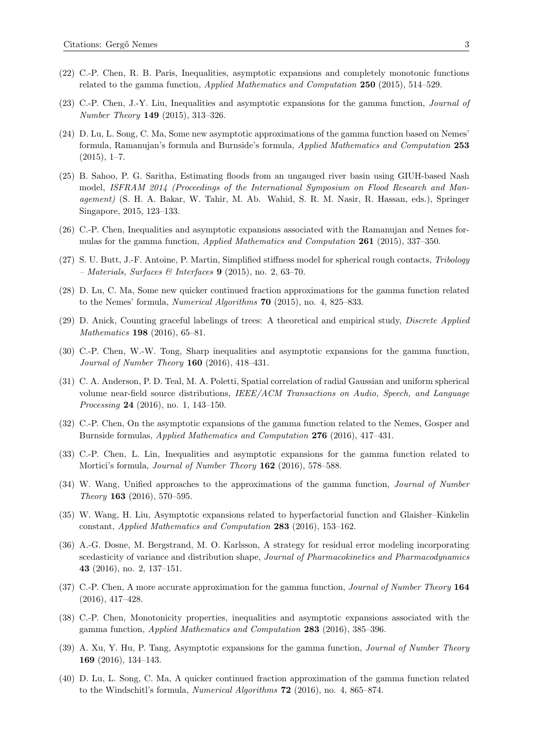- (22) C.-P. Chen, R. B. Paris, Inequalities, asymptotic expansions and completely monotonic functions related to the gamma function, Applied Mathematics and Computation 250 (2015), 514–529.
- (23) C.-P. Chen, J.-Y. Liu, Inequalities and asymptotic expansions for the gamma function, Journal of Number Theory 149 (2015), 313–326.
- (24) D. Lu, L. Song, C. Ma, Some new asymptotic approximations of the gamma function based on Nemes' formula, Ramanujan's formula and Burnside's formula, Applied Mathematics and Computation 253  $(2015), 1-7.$
- (25) B. Sahoo, P. G. Saritha, Estimating floods from an ungauged river basin using GIUH-based Nash model, ISFRAM 2014 (Proceedings of the International Symposium on Flood Research and Management) (S. H. A. Bakar, W. Tahir, M. Ab. Wahid, S. R. M. Nasir, R. Hassan, eds.), Springer Singapore, 2015, 123–133.
- (26) C.-P. Chen, Inequalities and asymptotic expansions associated with the Ramanujan and Nemes formulas for the gamma function, Applied Mathematics and Computation 261 (2015), 337–350.
- (27) S. U. Butt, J.-F. Antoine, P. Martin, Simplified stiffness model for spherical rough contacts, Tribology – Materials, Surfaces & Interfaces  $9$  (2015), no. 2, 63–70.
- (28) D. Lu, C. Ma, Some new quicker continued fraction approximations for the gamma function related to the Nemes' formula, Numerical Algorithms 70 (2015), no. 4, 825–833.
- (29) D. Anick, Counting graceful labelings of trees: A theoretical and empirical study, Discrete Applied Mathematics 198 (2016), 65–81.
- (30) C.-P. Chen, W.-W. Tong, Sharp inequalities and asymptotic expansions for the gamma function, Journal of Number Theory 160 (2016), 418–431.
- (31) C. A. Anderson, P. D. Teal, M. A. Poletti, Spatial correlation of radial Gaussian and uniform spherical volume near-field source distributions, IEEE/ACM Transactions on Audio, Speech, and Language Processing 24 (2016), no. 1, 143-150.
- (32) C.-P. Chen, On the asymptotic expansions of the gamma function related to the Nemes, Gosper and Burnside formulas, Applied Mathematics and Computation 276 (2016), 417–431.
- (33) C.-P. Chen, L. Lin, Inequalities and asymptotic expansions for the gamma function related to Mortici's formula, Journal of Number Theory 162 (2016), 578–588.
- (34) W. Wang, Unified approaches to the approximations of the gamma function, Journal of Number Theory 163 (2016), 570–595.
- (35) W. Wang, H. Liu, Asymptotic expansions related to hyperfactorial function and Glaisher–Kinkelin constant, Applied Mathematics and Computation 283 (2016), 153–162.
- (36) A.-G. Dosne, M. Bergstrand, M. O. Karlsson, A strategy for residual error modeling incorporating scedasticity of variance and distribution shape, Journal of Pharmacokinetics and Pharmacodynamics 43 (2016), no. 2, 137–151.
- (37) C.-P. Chen, A more accurate approximation for the gamma function, Journal of Number Theory 164 (2016), 417–428.
- (38) C.-P. Chen, Monotonicity properties, inequalities and asymptotic expansions associated with the gamma function, Applied Mathematics and Computation 283 (2016), 385–396.
- (39) A. Xu, Y. Hu, P. Tang, Asymptotic expansions for the gamma function, Journal of Number Theory 169 (2016), 134–143.
- (40) D. Lu, L. Song, C. Ma, A quicker continued fraction approximation of the gamma function related to the Windschitl's formula, Numerical Algorithms 72 (2016), no. 4, 865–874.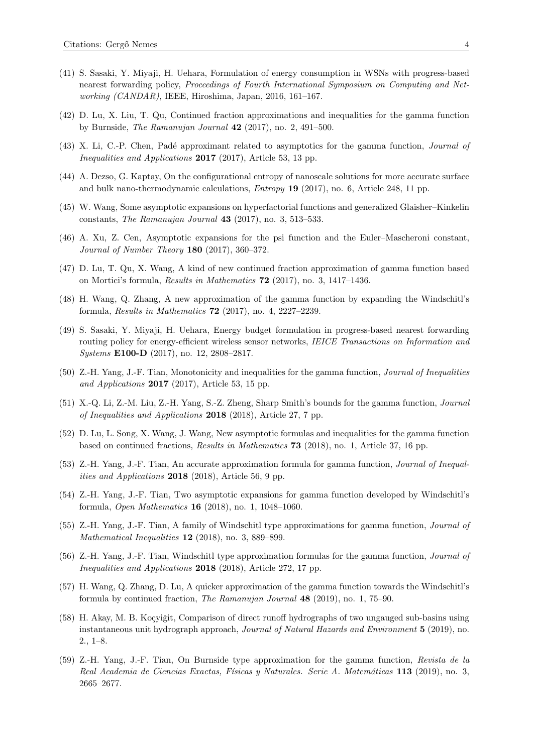- (41) S. Sasaki, Y. Miyaji, H. Uehara, Formulation of energy consumption in WSNs with progress-based nearest forwarding policy, Proceedings of Fourth International Symposium on Computing and Networking (CANDAR), IEEE, Hiroshima, Japan, 2016, 161–167.
- (42) D. Lu, X. Liu, T. Qu, Continued fraction approximations and inequalities for the gamma function by Burnside, The Ramanujan Journal 42 (2017), no. 2, 491–500.
- (43) X. Li, C.-P. Chen, Padé approximant related to asymptotics for the gamma function, *Journal of* Inequalities and Applications 2017 (2017), Article 53, 13 pp.
- (44) A. Dezso, G. Kaptay, On the configurational entropy of nanoscale solutions for more accurate surface and bulk nano-thermodynamic calculations, Entropy 19 (2017), no. 6, Article 248, 11 pp.
- (45) W. Wang, Some asymptotic expansions on hyperfactorial functions and generalized Glaisher–Kinkelin constants, The Ramanujan Journal 43 (2017), no. 3, 513–533.
- (46) A. Xu, Z. Cen, Asymptotic expansions for the psi function and the Euler–Mascheroni constant, Journal of Number Theory 180 (2017), 360–372.
- (47) D. Lu, T. Qu, X. Wang, A kind of new continued fraction approximation of gamma function based on Mortici's formula, Results in Mathematics 72 (2017), no. 3, 1417–1436.
- (48) H. Wang, Q. Zhang, A new approximation of the gamma function by expanding the Windschitl's formula, Results in Mathematics 72 (2017), no. 4, 2227–2239.
- (49) S. Sasaki, Y. Miyaji, H. Uehara, Energy budget formulation in progress-based nearest forwarding routing policy for energy-efficient wireless sensor networks, IEICE Transactions on Information and Systems E100-D (2017), no. 12, 2808–2817.
- (50) Z.-H. Yang, J.-F. Tian, Monotonicity and inequalities for the gamma function, Journal of Inequalities and Applications  $2017$  (2017), Article 53, 15 pp.
- (51) X.-Q. Li, Z.-M. Liu, Z.-H. Yang, S.-Z. Zheng, Sharp Smith's bounds for the gamma function, Journal of Inequalities and Applications 2018 (2018), Article 27, 7 pp.
- (52) D. Lu, L. Song, X. Wang, J. Wang, New asymptotic formulas and inequalities for the gamma function based on continued fractions, Results in Mathematics 73 (2018), no. 1, Article 37, 16 pp.
- (53) Z.-H. Yang, J.-F. Tian, An accurate approximation formula for gamma function, Journal of Inequalities and Applications 2018 (2018), Article 56, 9 pp.
- (54) Z.-H. Yang, J.-F. Tian, Two asymptotic expansions for gamma function developed by Windschitl's formula, Open Mathematics 16 (2018), no. 1, 1048–1060.
- (55) Z.-H. Yang, J.-F. Tian, A family of Windschitl type approximations for gamma function, Journal of Mathematical Inequalities 12 (2018), no. 3, 889–899.
- (56) Z.-H. Yang, J.-F. Tian, Windschitl type approximation formulas for the gamma function, Journal of Inequalities and Applications 2018 (2018), Article 272, 17 pp.
- (57) H. Wang, Q. Zhang, D. Lu, A quicker approximation of the gamma function towards the Windschitl's formula by continued fraction, The Ramanujan Journal 48 (2019), no. 1, 75–90.
- (58) H. Akay, M. B. Koçyiğit, Comparison of direct runoff hydrographs of two ungauged sub-basins using instantaneous unit hydrograph approach, Journal of Natural Hazards and Environment 5 (2019), no. 2., 1–8.
- (59) Z.-H. Yang, J.-F. Tian, On Burnside type approximation for the gamma function, Revista de la Real Academia de Ciencias Exactas, Físicas y Naturales. Serie A. Matemáticas 113 (2019), no. 3, 2665–2677.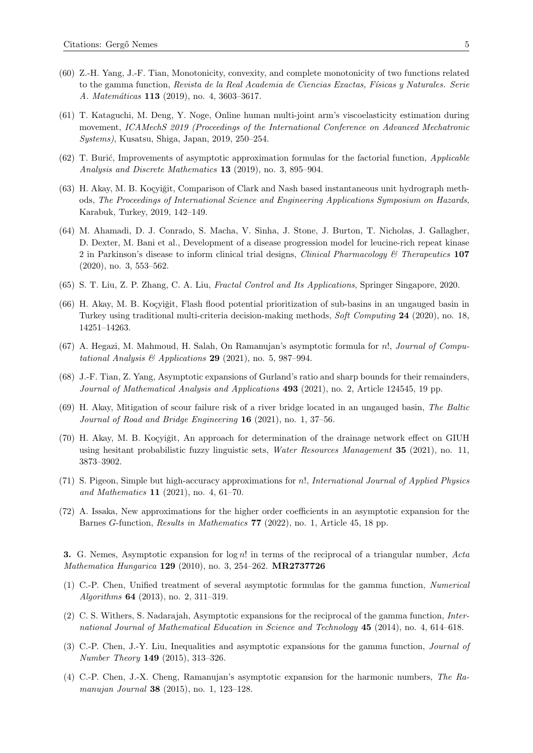- (60) Z.-H. Yang, J.-F. Tian, Monotonicity, convexity, and complete monotonicity of two functions related to the gamma function, Revista de la Real Academia de Ciencias Exactas, Físicas y Naturales. Serie A. Matemáticas 113 (2019), no. 4, 3603-3617.
- (61) T. Kataguchi, M. Deng, Y. Noge, Online human multi-joint arm's viscoelasticity estimation during movement, ICAMechS 2019 (Proceedings of the International Conference on Advanced Mechatronic Systems), Kusatsu, Shiga, Japan, 2019, 250–254.
- $(62)$  T. Burić, Improvements of asymptotic approximation formulas for the factorial function, *Applicable* Analysis and Discrete Mathematics 13 (2019), no. 3, 895–904.
- (63) H. Akay, M. B. Koçyiğit, Comparison of Clark and Nash based instantaneous unit hydrograph methods, The Proceedings of International Science and Engineering Applications Symposium on Hazards, Karabuk, Turkey, 2019, 142–149.
- (64) M. Ahamadi, D. J. Conrado, S. Macha, V. Sinha, J. Stone, J. Burton, T. Nicholas, J. Gallagher, D. Dexter, M. Bani et al., Development of a disease progression model for leucine-rich repeat kinase 2 in Parkinson's disease to inform clinical trial designs, *Clinical Pharmacology*  $\&$  Therapeutics 107 (2020), no. 3, 553–562.
- (65) S. T. Liu, Z. P. Zhang, C. A. Liu, Fractal Control and Its Applications, Springer Singapore, 2020.
- (66) H. Akay, M. B. Koçyiğit, Flash flood potential prioritization of sub-basins in an ungauged basin in Turkey using traditional multi-criteria decision-making methods, Soft Computing 24 (2020), no. 18, 14251–14263.
- (67) A. Hegazi, M. Mahmoud, H. Salah, On Ramanujan's asymptotic formula for n!, Journal of Computational Analysis  $\mathcal{B}$  Applications 29 (2021), no. 5, 987–994.
- (68) J.-F. Tian, Z. Yang, Asymptotic expansions of Gurland's ratio and sharp bounds for their remainders, Journal of Mathematical Analysis and Applications **493** (2021), no. 2, Article 124545, 19 pp.
- (69) H. Akay, Mitigation of scour failure risk of a river bridge located in an ungauged basin, The Baltic Journal of Road and Bridge Engineering 16 (2021), no. 1, 37–56.
- (70) H. Akay, M. B. Koçyiğit, An approach for determination of the drainage network effect on GIUH using hesitant probabilistic fuzzy linguistic sets, Water Resources Management 35 (2021), no. 11, 3873–3902.
- (71) S. Pigeon, Simple but high-accuracy approximations for n!, International Journal of Applied Physics and Mathematics 11 (2021), no. 4, 61–70.
- (72) A. Issaka, New approximations for the higher order coefficients in an asymptotic expansion for the Barnes G-function, Results in Mathematics 77 (2022), no. 1, Article 45, 18 pp.

3. G. Nemes, Asymptotic expansion for  $\log n!$  in terms of the reciprocal of a triangular number, Acta Mathematica Hungarica 129 (2010), no. 3, 254–262. MR2737726

- (1) C.-P. Chen, Unified treatment of several asymptotic formulas for the gamma function, Numerical Algorithms 64 (2013), no. 2, 311–319.
- (2) C. S. Withers, S. Nadarajah, Asymptotic expansions for the reciprocal of the gamma function, International Journal of Mathematical Education in Science and Technology 45 (2014), no. 4, 614-618.
- (3) C.-P. Chen, J.-Y. Liu, Inequalities and asymptotic expansions for the gamma function, Journal of Number Theory 149 (2015), 313–326.
- (4) C.-P. Chen, J.-X. Cheng, Ramanujan's asymptotic expansion for the harmonic numbers, The Ramanujan Journal 38 (2015), no. 1, 123-128.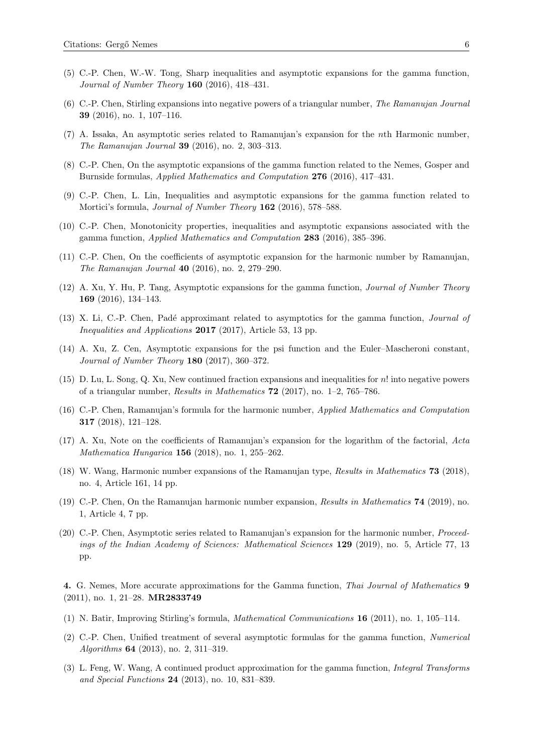- (5) C.-P. Chen, W.-W. Tong, Sharp inequalities and asymptotic expansions for the gamma function, Journal of Number Theory 160 (2016), 418–431.
- (6) C.-P. Chen, Stirling expansions into negative powers of a triangular number, The Ramanujan Journal 39 (2016), no. 1, 107–116.
- (7) A. Issaka, An asymptotic series related to Ramanujan's expansion for the nth Harmonic number, The Ramanujan Journal 39 (2016), no. 2, 303–313.
- (8) C.-P. Chen, On the asymptotic expansions of the gamma function related to the Nemes, Gosper and Burnside formulas, Applied Mathematics and Computation 276 (2016), 417–431.
- (9) C.-P. Chen, L. Lin, Inequalities and asymptotic expansions for the gamma function related to Mortici's formula, *Journal of Number Theory* **162** (2016), 578–588.
- (10) C.-P. Chen, Monotonicity properties, inequalities and asymptotic expansions associated with the gamma function, Applied Mathematics and Computation 283 (2016), 385–396.
- (11) C.-P. Chen, On the coefficients of asymptotic expansion for the harmonic number by Ramanujan, The Ramanujan Journal 40 (2016), no. 2, 279–290.
- (12) A. Xu, Y. Hu, P. Tang, Asymptotic expansions for the gamma function, Journal of Number Theory 169 (2016), 134–143.
- (13) X. Li, C.-P. Chen, Pad´e approximant related to asymptotics for the gamma function, Journal of Inequalities and Applications 2017 (2017), Article 53, 13 pp.
- (14) A. Xu, Z. Cen, Asymptotic expansions for the psi function and the Euler–Mascheroni constant, Journal of Number Theory 180 (2017), 360–372.
- (15) D. Lu, L. Song, Q. Xu, New continued fraction expansions and inequalities for n! into negative powers of a triangular number, Results in Mathematics  $72$  (2017), no. 1–2, 765–786.
- (16) C.-P. Chen, Ramanujan's formula for the harmonic number, Applied Mathematics and Computation 317 (2018), 121–128.
- (17) A. Xu, Note on the coefficients of Ramanujan's expansion for the logarithm of the factorial, Acta Mathematica Hungarica 156 (2018), no. 1, 255–262.
- (18) W. Wang, Harmonic number expansions of the Ramanujan type, Results in Mathematics 73 (2018), no. 4, Article 161, 14 pp.
- (19) C.-P. Chen, On the Ramanujan harmonic number expansion, Results in Mathematics 74 (2019), no. 1, Article 4, 7 pp.
- (20) C.-P. Chen, Asymptotic series related to Ramanujan's expansion for the harmonic number, Proceedings of the Indian Academy of Sciences: Mathematical Sciences 129 (2019), no. 5, Article 77, 13 pp.

4. G. Nemes, More accurate approximations for the Gamma function, Thai Journal of Mathematics 9 (2011), no. 1, 21–28. MR2833749

- (1) N. Batir, Improving Stirling's formula, Mathematical Communications 16 (2011), no. 1, 105–114.
- (2) C.-P. Chen, Unified treatment of several asymptotic formulas for the gamma function, Numerical Algorithms 64 (2013), no. 2, 311–319.
- (3) L. Feng, W. Wang, A continued product approximation for the gamma function, Integral Transforms and Special Functions 24 (2013), no. 10, 831–839.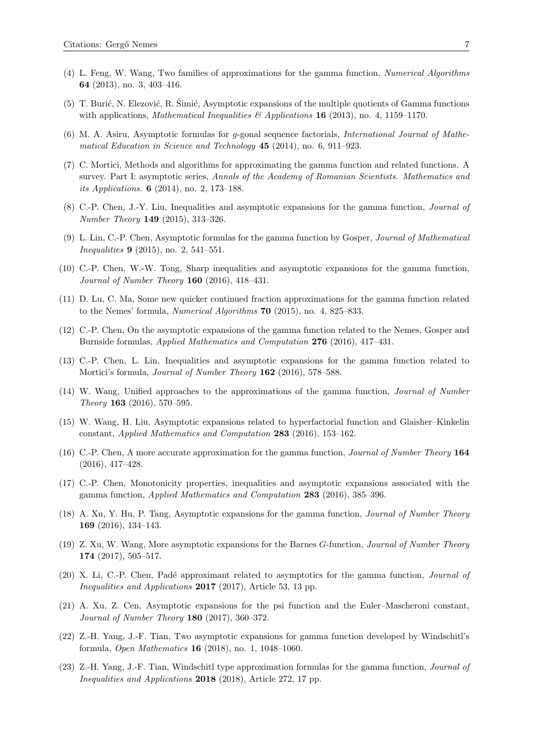- (4) L. Feng, W. Wang, Two families of approximations for the gamma function, Numerical Algorithms 64 (2013), no. 3, 403–416.
- (5) T. Burić, N. Elezović, R. Šimić, Asymptotic expansions of the multiple quotients of Gamma functions with applications, *Mathematical Inequalities*  $\mathscr{C}$  Applications **16** (2013), no. 4, 1159–1170.
- (6) M. A. Asiru, Asymptotic formulas for g-gonal sequence factorials, International Journal of Mathematical Education in Science and Technology 45 (2014), no. 6, 911–923.
- (7) C. Mortici, Methods and algorithms for approximating the gamma function and related functions. A survey. Part I: asymptotic series, Annals of the Academy of Romanian Scientists. Mathematics and its Applications. 6 (2014), no. 2, 173–188.
- (8) C.-P. Chen, J.-Y. Liu, Inequalities and asymptotic expansions for the gamma function, Journal of Number Theory 149 (2015), 313–326.
- (9) L. Lin, C.-P. Chen, Asymptotic formulas for the gamma function by Gosper, Journal of Mathematical Inequalities 9 (2015), no. 2, 541–551.
- (10) C.-P. Chen, W.-W. Tong, Sharp inequalities and asymptotic expansions for the gamma function, Journal of Number Theory 160 (2016), 418–431.
- (11) D. Lu, C. Ma, Some new quicker continued fraction approximations for the gamma function related to the Nemes' formula, Numerical Algorithms 70 (2015), no. 4, 825–833.
- (12) C.-P. Chen, On the asymptotic expansions of the gamma function related to the Nemes, Gosper and Burnside formulas, Applied Mathematics and Computation 276 (2016), 417–431.
- (13) C.-P. Chen, L. Lin, Inequalities and asymptotic expansions for the gamma function related to Mortici's formula, Journal of Number Theory 162 (2016), 578–588.
- (14) W. Wang, Unified approaches to the approximations of the gamma function, Journal of Number Theory 163 (2016), 570–595.
- (15) W. Wang, H. Liu, Asymptotic expansions related to hyperfactorial function and Glaisher–Kinkelin constant, Applied Mathematics and Computation 283 (2016), 153–162.
- (16) C.-P. Chen, A more accurate approximation for the gamma function, Journal of Number Theory 164 (2016), 417–428.
- (17) C.-P. Chen, Monotonicity properties, inequalities and asymptotic expansions associated with the gamma function, Applied Mathematics and Computation 283 (2016), 385–396.
- (18) A. Xu, Y. Hu, P. Tang, Asymptotic expansions for the gamma function, Journal of Number Theory 169 (2016), 134–143.
- (19) Z. Xu, W. Wang, More asymptotic expansions for the Barnes G-function, Journal of Number Theory 174 (2017), 505–517.
- (20) X. Li, C.-P. Chen, Padé approximant related to asymptotics for the gamma function, *Journal of* Inequalities and Applications 2017 (2017), Article 53, 13 pp.
- (21) A. Xu, Z. Cen, Asymptotic expansions for the psi function and the Euler–Mascheroni constant, Journal of Number Theory 180 (2017), 360–372.
- (22) Z.-H. Yang, J.-F. Tian, Two asymptotic expansions for gamma function developed by Windschitl's formula, Open Mathematics 16 (2018), no. 1, 1048–1060.
- (23) Z.-H. Yang, J.-F. Tian, Windschitl type approximation formulas for the gamma function, Journal of Inequalities and Applications 2018 (2018), Article 272, 17 pp.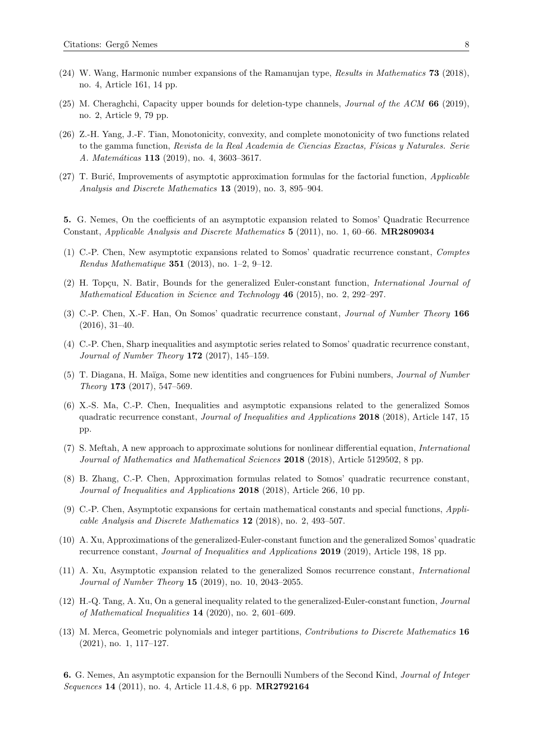- (24) W. Wang, Harmonic number expansions of the Ramanujan type, Results in Mathematics 73 (2018), no. 4, Article 161, 14 pp.
- (25) M. Cheraghchi, Capacity upper bounds for deletion-type channels, Journal of the ACM 66 (2019), no. 2, Article 9, 79 pp.
- (26) Z.-H. Yang, J.-F. Tian, Monotonicity, convexity, and complete monotonicity of two functions related to the gamma function, Revista de la Real Academia de Ciencias Exactas, Físicas y Naturales. Serie A. Matemáticas 113 (2019), no. 4, 3603-3617.
- $(27)$  T. Burić, Improvements of asymptotic approximation formulas for the factorial function, *Applicable* Analysis and Discrete Mathematics 13 (2019), no. 3, 895–904.

5. G. Nemes, On the coefficients of an asymptotic expansion related to Somos' Quadratic Recurrence Constant, Applicable Analysis and Discrete Mathematics 5 (2011), no. 1, 60–66. MR2809034

- (1) C.-P. Chen, New asymptotic expansions related to Somos' quadratic recurrence constant, Comptes *Rendus Mathematique* **351** (2013), no. 1-2, 9-12.
- (2) H. Topçu, N. Batir, Bounds for the generalized Euler-constant function, *International Journal of* Mathematical Education in Science and Technology 46 (2015), no. 2, 292–297.
- (3) C.-P. Chen, X.-F. Han, On Somos' quadratic recurrence constant, Journal of Number Theory 166 (2016), 31–40.
- (4) C.-P. Chen, Sharp inequalities and asymptotic series related to Somos' quadratic recurrence constant, Journal of Number Theory 172 (2017), 145–159.
- (5) T. Diagana, H. Maïga, Some new identities and congruences for Fubini numbers, *Journal of Number* Theory 173 (2017), 547–569.
- (6) X.-S. Ma, C.-P. Chen, Inequalities and asymptotic expansions related to the generalized Somos quadratic recurrence constant, *Journal of Inequalities and Applications* 2018 (2018), Article 147, 15 pp.
- (7) S. Meftah, A new approach to approximate solutions for nonlinear differential equation, International Journal of Mathematics and Mathematical Sciences 2018 (2018), Article 5129502, 8 pp.
- (8) B. Zhang, C.-P. Chen, Approximation formulas related to Somos' quadratic recurrence constant, Journal of Inequalities and Applications 2018 (2018), Article 266, 10 pp.
- (9) C.-P. Chen, Asymptotic expansions for certain mathematical constants and special functions, Applicable Analysis and Discrete Mathematics 12 (2018), no. 2, 493–507.
- (10) A. Xu, Approximations of the generalized-Euler-constant function and the generalized Somos' quadratic recurrence constant, *Journal of Inequalities and Applications* 2019 (2019), Article 198, 18 pp.
- (11) A. Xu, Asymptotic expansion related to the generalized Somos recurrence constant, International Journal of Number Theory 15 (2019), no. 10, 2043–2055.
- (12) H.-Q. Tang, A. Xu, On a general inequality related to the generalized-Euler-constant function, Journal of Mathematical Inequalities 14 (2020), no. 2, 601–609.
- (13) M. Merca, Geometric polynomials and integer partitions, Contributions to Discrete Mathematics 16 (2021), no. 1, 117–127.

6. G. Nemes, An asymptotic expansion for the Bernoulli Numbers of the Second Kind, Journal of Integer Sequences 14 (2011), no. 4, Article 11.4.8, 6 pp. MR2792164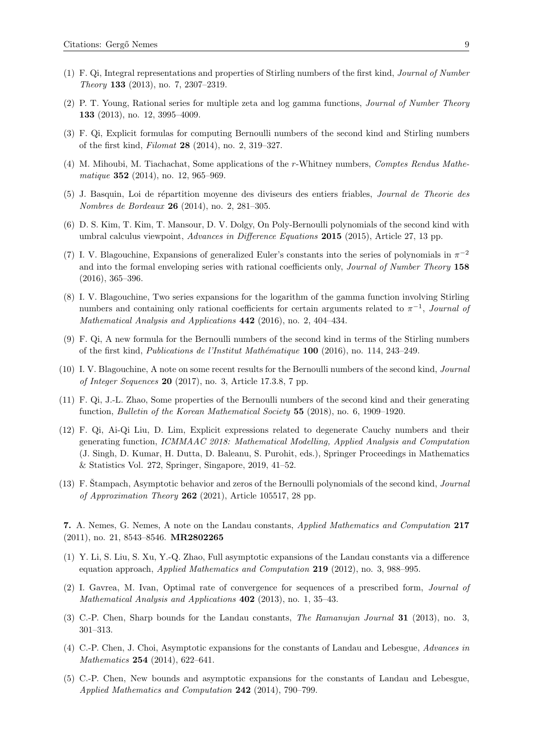- (1) F. Qi, Integral representations and properties of Stirling numbers of the first kind, Journal of Number Theory 133 (2013), no. 7, 2307–2319.
- (2) P. T. Young, Rational series for multiple zeta and log gamma functions, Journal of Number Theory 133 (2013), no. 12, 3995–4009.
- (3) F. Qi, Explicit formulas for computing Bernoulli numbers of the second kind and Stirling numbers of the first kind, Filomat 28 (2014), no. 2, 319–327.
- (4) M. Mihoubi, M. Tiachachat, Some applications of the r-Whitney numbers, Comptes Rendus Mathematique **352** (2014), no. 12, 965–969.
- (5) J. Basquin, Loi de r´epartition moyenne des diviseurs des entiers friables, Journal de Theorie des Nombres de Bordeaux 26 (2014), no. 2, 281–305.
- (6) D. S. Kim, T. Kim, T. Mansour, D. V. Dolgy, On Poly-Bernoulli polynomials of the second kind with umbral calculus viewpoint, *Advances in Difference Equations* 2015 (2015), Article 27, 13 pp.
- (7) I. V. Blagouchine, Expansions of generalized Euler's constants into the series of polynomials in  $\pi^{-2}$ and into the formal enveloping series with rational coefficients only, *Journal of Number Theory* 158 (2016), 365–396.
- (8) I. V. Blagouchine, Two series expansions for the logarithm of the gamma function involving Stirling numbers and containing only rational coefficients for certain arguments related to  $\pi^{-1}$ , Journal of Mathematical Analysis and Applications 442 (2016), no. 2, 404–434.
- (9) F. Qi, A new formula for the Bernoulli numbers of the second kind in terms of the Stirling numbers of the first kind, Publications de l'Institut Math´ematique 100 (2016), no. 114, 243–249.
- (10) I. V. Blagouchine, A note on some recent results for the Bernoulli numbers of the second kind, Journal of Integer Sequences 20 (2017), no. 3, Article 17.3.8, 7 pp.
- (11) F. Qi, J.-L. Zhao, Some properties of the Bernoulli numbers of the second kind and their generating function, Bulletin of the Korean Mathematical Society 55 (2018), no. 6, 1909–1920.
- (12) F. Qi, Ai-Qi Liu, D. Lim, Explicit expressions related to degenerate Cauchy numbers and their generating function, ICMMAAC 2018: Mathematical Modelling, Applied Analysis and Computation (J. Singh, D. Kumar, H. Dutta, D. Baleanu, S. Purohit, eds.), Springer Proceedings in Mathematics & Statistics Vol. 272, Springer, Singapore, 2019, 41–52.
- $(13)$  F. Stampach, Asymptotic behavior and zeros of the Bernoulli polynomials of the second kind, *Journal* of Approximation Theory 262 (2021), Article 105517, 28 pp.

7. A. Nemes, G. Nemes, A note on the Landau constants, Applied Mathematics and Computation 217 (2011), no. 21, 8543–8546. MR2802265

- (1) Y. Li, S. Liu, S. Xu, Y.-Q. Zhao, Full asymptotic expansions of the Landau constants via a difference equation approach, Applied Mathematics and Computation 219 (2012), no. 3, 988–995.
- (2) I. Gavrea, M. Ivan, Optimal rate of convergence for sequences of a prescribed form, Journal of Mathematical Analysis and Applications **402** (2013), no. 1, 35–43.
- (3) C.-P. Chen, Sharp bounds for the Landau constants, The Ramanujan Journal 31 (2013), no. 3, 301–313.
- (4) C.-P. Chen, J. Choi, Asymptotic expansions for the constants of Landau and Lebesgue, Advances in Mathematics 254 (2014), 622–641.
- (5) C.-P. Chen, New bounds and asymptotic expansions for the constants of Landau and Lebesgue, Applied Mathematics and Computation 242 (2014), 790–799.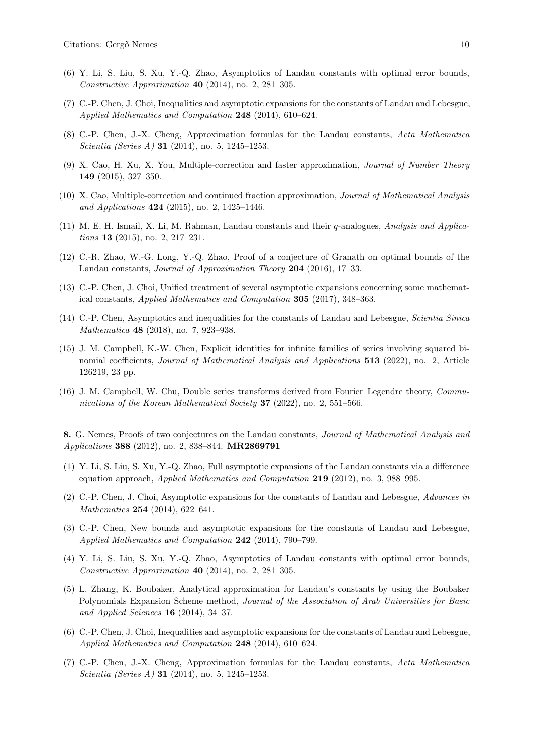- (6) Y. Li, S. Liu, S. Xu, Y.-Q. Zhao, Asymptotics of Landau constants with optimal error bounds, Constructive Approximation 40 (2014), no. 2, 281–305.
- (7) C.-P. Chen, J. Choi, Inequalities and asymptotic expansions for the constants of Landau and Lebesgue, Applied Mathematics and Computation 248 (2014), 610–624.
- (8) C.-P. Chen, J.-X. Cheng, Approximation formulas for the Landau constants, Acta Mathematica Scientia (Series A) **31** (2014), no. 5, 1245–1253.
- (9) X. Cao, H. Xu, X. You, Multiple-correction and faster approximation, Journal of Number Theory 149 (2015), 327–350.
- (10) X. Cao, Multiple-correction and continued fraction approximation, Journal of Mathematical Analysis and Applications 424 (2015), no. 2, 1425–1446.
- (11) M. E. H. Ismail, X. Li, M. Rahman, Landau constants and their q-analogues, Analysis and Applications 13 (2015), no. 2, 217–231.
- (12) C.-R. Zhao, W.-G. Long, Y.-Q. Zhao, Proof of a conjecture of Granath on optimal bounds of the Landau constants, Journal of Approximation Theory 204 (2016), 17–33.
- (13) C.-P. Chen, J. Choi, Unified treatment of several asymptotic expansions concerning some mathematical constants, Applied Mathematics and Computation 305 (2017), 348–363.
- (14) C.-P. Chen, Asymptotics and inequalities for the constants of Landau and Lebesgue, Scientia Sinica Mathematica 48 (2018), no. 7, 923–938.
- (15) J. M. Campbell, K.-W. Chen, Explicit identities for infinite families of series involving squared binomial coefficients, *Journal of Mathematical Analysis and Applications* 513 (2022), no. 2, Article 126219, 23 pp.
- (16) J. M. Campbell, W. Chu, Double series transforms derived from Fourier–Legendre theory, Communications of the Korean Mathematical Society 37 (2022), no. 2, 551–566.

8. G. Nemes, Proofs of two conjectures on the Landau constants, Journal of Mathematical Analysis and Applications 388 (2012), no. 2, 838–844. MR2869791

- (1) Y. Li, S. Liu, S. Xu, Y.-Q. Zhao, Full asymptotic expansions of the Landau constants via a difference equation approach, Applied Mathematics and Computation 219 (2012), no. 3, 988–995.
- (2) C.-P. Chen, J. Choi, Asymptotic expansions for the constants of Landau and Lebesgue, Advances in Mathematics 254 (2014), 622–641.
- (3) C.-P. Chen, New bounds and asymptotic expansions for the constants of Landau and Lebesgue, Applied Mathematics and Computation 242 (2014), 790–799.
- (4) Y. Li, S. Liu, S. Xu, Y.-Q. Zhao, Asymptotics of Landau constants with optimal error bounds, Constructive Approximation 40 (2014), no. 2, 281–305.
- (5) L. Zhang, K. Boubaker, Analytical approximation for Landau's constants by using the Boubaker Polynomials Expansion Scheme method, Journal of the Association of Arab Universities for Basic and Applied Sciences 16 (2014), 34–37.
- (6) C.-P. Chen, J. Choi, Inequalities and asymptotic expansions for the constants of Landau and Lebesgue, Applied Mathematics and Computation 248 (2014), 610–624.
- (7) C.-P. Chen, J.-X. Cheng, Approximation formulas for the Landau constants, Acta Mathematica Scientia (Series A) **31** (2014), no. 5, 1245–1253.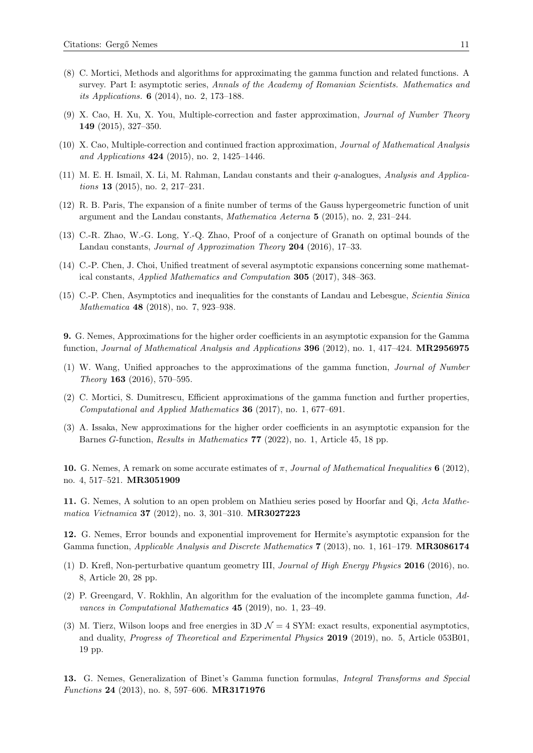- (8) C. Mortici, Methods and algorithms for approximating the gamma function and related functions. A survey. Part I: asymptotic series, Annals of the Academy of Romanian Scientists. Mathematics and its Applications. 6 (2014), no. 2, 173–188.
- (9) X. Cao, H. Xu, X. You, Multiple-correction and faster approximation, Journal of Number Theory 149 (2015), 327–350.
- (10) X. Cao, Multiple-correction and continued fraction approximation, Journal of Mathematical Analysis and Applications 424 (2015), no. 2, 1425–1446.
- (11) M. E. H. Ismail, X. Li, M. Rahman, Landau constants and their q-analogues, Analysis and Applications 13 (2015), no. 2, 217–231.
- (12) R. B. Paris, The expansion of a finite number of terms of the Gauss hypergeometric function of unit argument and the Landau constants, Mathematica Aeterna 5 (2015), no. 2, 231–244.
- (13) C.-R. Zhao, W.-G. Long, Y.-Q. Zhao, Proof of a conjecture of Granath on optimal bounds of the Landau constants, Journal of Approximation Theory 204 (2016), 17–33.
- (14) C.-P. Chen, J. Choi, Unified treatment of several asymptotic expansions concerning some mathematical constants, Applied Mathematics and Computation 305 (2017), 348–363.
- (15) C.-P. Chen, Asymptotics and inequalities for the constants of Landau and Lebesgue, Scientia Sinica Mathematica **48** (2018), no. 7, 923-938.

9. G. Nemes, Approximations for the higher order coefficients in an asymptotic expansion for the Gamma function, Journal of Mathematical Analysis and Applications 396 (2012), no. 1, 417–424. MR2956975

- (1) W. Wang, Unified approaches to the approximations of the gamma function, Journal of Number Theory 163 (2016), 570–595.
- (2) C. Mortici, S. Dumitrescu, Efficient approximations of the gamma function and further properties, Computational and Applied Mathematics 36 (2017), no. 1, 677–691.
- (3) A. Issaka, New approximations for the higher order coefficients in an asymptotic expansion for the Barnes G-function, Results in Mathematics 77 (2022), no. 1, Article 45, 18 pp.

10. G. Nemes, A remark on some accurate estimates of  $\pi$ , Journal of Mathematical Inequalities 6 (2012), no. 4, 517–521. MR3051909

11. G. Nemes, A solution to an open problem on Mathieu series posed by Hoorfar and Qi, Acta Mathematica Vietnamica 37 (2012), no. 3, 301–310. MR3027223

12. G. Nemes, Error bounds and exponential improvement for Hermite's asymptotic expansion for the Gamma function, *Applicable Analysis and Discrete Mathematics* 7 (2013), no. 1, 161–179. **MR3086174** 

- (1) D. Krefl, Non-perturbative quantum geometry III, Journal of High Energy Physics 2016 (2016), no. 8, Article 20, 28 pp.
- (2) P. Greengard, V. Rokhlin, An algorithm for the evaluation of the incomplete gamma function, Advances in Computational Mathematics 45 (2019), no. 1, 23–49.
- (3) M. Tierz, Wilson loops and free energies in  $3D \mathcal{N} = 4$  SYM: exact results, exponential asymptotics, and duality, Progress of Theoretical and Experimental Physics 2019 (2019), no. 5, Article 053B01, 19 pp.

13. G. Nemes, Generalization of Binet's Gamma function formulas, Integral Transforms and Special Functions 24 (2013), no. 8, 597–606. MR3171976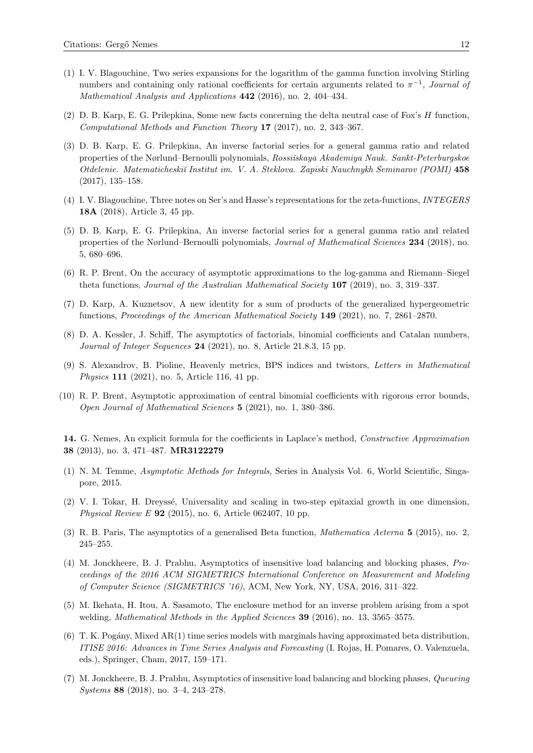- (1) I. V. Blagouchine, Two series expansions for the logarithm of the gamma function involving Stirling numbers and containing only rational coefficients for certain arguments related to  $\pi^{-1}$ , Journal of Mathematical Analysis and Applications 442 (2016), no. 2, 404–434.
- (2) D. B. Karp, E. G. Prilepkina, Some new facts concerning the delta neutral case of Fox's H function, Computational Methods and Function Theory 17 (2017), no. 2, 343–367.
- (3) D. B. Karp, E. G. Prilepkina, An inverse factorial series for a general gamma ratio and related properties of the Nørlund–Bernoulli polynomials, Rossi˘ıskaya Akademiya Nauk. Sankt-Peterburgskoe Otdelenie. Matematicheski˘ı Institut im. V. A. Steklova. Zapiski Nauchnykh Seminarov (POMI) 458 (2017), 135–158.
- (4) I. V. Blagouchine, Three notes on Ser's and Hasse's representations for the zeta-functions, INTEGERS 18A (2018), Article 3, 45 pp.
- (5) D. B. Karp, E. G. Prilepkina, An inverse factorial series for a general gamma ratio and related properties of the Nørlund–Bernoulli polynomials, Journal of Mathematical Sciences 234 (2018), no. 5, 680–696.
- (6) R. P. Brent, On the accuracy of asymptotic approximations to the log-gamma and Riemann–Siegel theta functions, Journal of the Australian Mathematical Society 107 (2019), no. 3, 319–337.
- (7) D. Karp, A. Kuznetsov, A new identity for a sum of products of the generalized hypergeometric functions, Proceedings of the American Mathematical Society 149 (2021), no. 7, 2861–2870.
- (8) D. A. Kessler, J. Schiff, The asymptotics of factorials, binomial coefficients and Catalan numbers, Journal of Integer Sequences 24 (2021), no. 8, Article 21.8.3, 15 pp.
- (9) S. Alexandrov, B. Pioline, Heavenly metrics, BPS indices and twistors, Letters in Mathematical Physics 111 (2021), no. 5, Article 116, 41 pp.
- (10) R. P. Brent, Asymptotic approximation of central binomial coefficients with rigorous error bounds, Open Journal of Mathematical Sciences 5 (2021), no. 1, 380–386.

14. G. Nemes, An explicit formula for the coefficients in Laplace's method, Constructive Approximation 38 (2013), no. 3, 471–487. MR3122279

- (1) N. M. Temme, Asymptotic Methods for Integrals, Series in Analysis Vol. 6, World Scientific, Singapore, 2015.
- (2) V. I. Tokar, H. Dreyss´e, Universality and scaling in two-step epitaxial growth in one dimension, *Physical Review E* 92 (2015), no. 6, Article 062407, 10 pp.
- (3) R. B. Paris, The asymptotics of a generalised Beta function, Mathematica Aeterna 5 (2015), no. 2, 245–255.
- (4) M. Jonckheere, B. J. Prabhu, Asymptotics of insensitive load balancing and blocking phases, Proceedings of the 2016 ACM SIGMETRICS International Conference on Measurement and Modeling of Computer Science (SIGMETRICS '16), ACM, New York, NY, USA, 2016, 311–322.
- (5) M. Ikehata, H. Itou, A. Sasamoto, The enclosure method for an inverse problem arising from a spot welding, *Mathematical Methods in the Applied Sciences* **39** (2016), no. 13, 3565–3575.
- (6) T. K. Pogány, Mixed AR(1) time series models with marginals having approximated beta distribution, ITISE 2016: Advances in Time Series Analysis and Forecasting (I. Rojas, H. Pomares, O. Valenzuela, eds.), Springer, Cham, 2017, 159–171.
- (7) M. Jonckheere, B. J. Prabhu, Asymptotics of insensitive load balancing and blocking phases, Queueing Systems 88 (2018), no. 3–4, 243–278.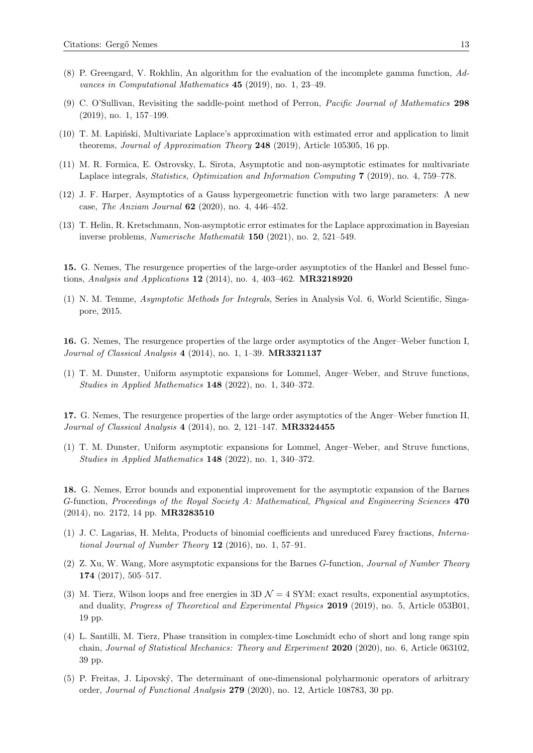- (8) P. Greengard, V. Rokhlin, An algorithm for the evaluation of the incomplete gamma function, Advances in Computational Mathematics 45 (2019), no. 1, 23–49.
- (9) C. O'Sullivan, Revisiting the saddle-point method of Perron, Pacific Journal of Mathematics 298 (2019), no. 1, 157–199.
- $(10)$  T. M. Lapinski, Multivariate Laplace's approximation with estimated error and application to limit theorems, Journal of Approximation Theory 248 (2019), Article 105305, 16 pp.
- (11) M. R. Formica, E. Ostrovsky, L. Sirota, Asymptotic and non-asymptotic estimates for multivariate Laplace integrals, Statistics, Optimization and Information Computing 7 (2019), no. 4, 759–778.
- (12) J. F. Harper, Asymptotics of a Gauss hypergeometric function with two large parameters: A new case, The Anziam Journal 62 (2020), no. 4, 446–452.
- (13) T. Helin, R. Kretschmann, Non-asymptotic error estimates for the Laplace approximation in Bayesian inverse problems, Numerische Mathematik 150 (2021), no. 2, 521–549.

15. G. Nemes, The resurgence properties of the large-order asymptotics of the Hankel and Bessel functions, Analysis and Applications 12 (2014), no. 4, 403–462. MR3218920

(1) N. M. Temme, Asymptotic Methods for Integrals, Series in Analysis Vol. 6, World Scientific, Singapore, 2015.

16. G. Nemes, The resurgence properties of the large order asymptotics of the Anger–Weber function I, *Journal of Classical Analysis*  $4$  (2014), no. 1, 1–39. **MR3321137** 

(1) T. M. Dunster, Uniform asymptotic expansions for Lommel, Anger–Weber, and Struve functions, Studies in Applied Mathematics 148 (2022), no. 1, 340–372.

17. G. Nemes, The resurgence properties of the large order asymptotics of the Anger–Weber function II, Journal of Classical Analysis 4 (2014), no. 2, 121–147. MR3324455

(1) T. M. Dunster, Uniform asymptotic expansions for Lommel, Anger–Weber, and Struve functions, Studies in Applied Mathematics 148 (2022), no. 1, 340–372.

18. G. Nemes, Error bounds and exponential improvement for the asymptotic expansion of the Barnes G-function, Proceedings of the Royal Society A: Mathematical, Physical and Engineering Sciences 470 (2014), no. 2172, 14 pp. MR3283510

- (1) J. C. Lagarias, H. Mehta, Products of binomial coefficients and unreduced Farey fractions, International Journal of Number Theory 12 (2016), no. 1, 57–91.
- (2) Z. Xu, W. Wang, More asymptotic expansions for the Barnes G-function, Journal of Number Theory 174 (2017), 505–517.
- (3) M. Tierz, Wilson loops and free energies in  $3D \mathcal{N} = 4$  SYM: exact results, exponential asymptotics, and duality, Progress of Theoretical and Experimental Physics 2019 (2019), no. 5, Article 053B01, 19 pp.
- (4) L. Santilli, M. Tierz, Phase transition in complex-time Loschmidt echo of short and long range spin chain, Journal of Statistical Mechanics: Theory and Experiment 2020 (2020), no. 6, Article 063102, 39 pp.
- (5) P. Freitas, J. Lipovsk´y, The determinant of one-dimensional polyharmonic operators of arbitrary order, Journal of Functional Analysis 279 (2020), no. 12, Article 108783, 30 pp.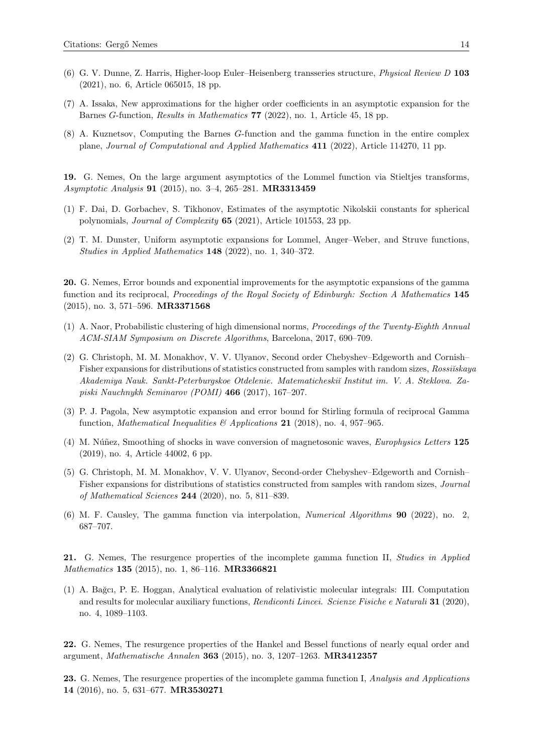- (6) G. V. Dunne, Z. Harris, Higher-loop Euler–Heisenberg transseries structure, Physical Review D 103 (2021), no. 6, Article 065015, 18 pp.
- (7) A. Issaka, New approximations for the higher order coefficients in an asymptotic expansion for the Barnes G-function, Results in Mathematics 77 (2022), no. 1, Article 45, 18 pp.
- (8) A. Kuznetsov, Computing the Barnes G-function and the gamma function in the entire complex plane, Journal of Computational and Applied Mathematics 411 (2022), Article 114270, 11 pp.

19. G. Nemes, On the large argument asymptotics of the Lommel function via Stieltjes transforms, Asymptotic Analysis 91 (2015), no. 3–4, 265–281. MR3313459

- (1) F. Dai, D. Gorbachev, S. Tikhonov, Estimates of the asymptotic Nikolskii constants for spherical polynomials, Journal of Complexity 65 (2021), Article 101553, 23 pp.
- (2) T. M. Dunster, Uniform asymptotic expansions for Lommel, Anger–Weber, and Struve functions, Studies in Applied Mathematics 148 (2022), no. 1, 340–372.

20. G. Nemes, Error bounds and exponential improvements for the asymptotic expansions of the gamma function and its reciprocal, Proceedings of the Royal Society of Edinburgh: Section A Mathematics 145 (2015), no. 3, 571–596. MR3371568

- (1) A. Naor, Probabilistic clustering of high dimensional norms, Proceedings of the Twenty-Eighth Annual ACM-SIAM Symposium on Discrete Algorithms, Barcelona, 2017, 690–709.
- (2) G. Christoph, M. M. Monakhov, V. V. Ulyanov, Second order Chebyshev–Edgeworth and Cornish– Fisher expansions for distributions of statistics constructed from samples with random sizes, Rossiĭskaya Akademiya Nauk. Sankt-Peterburgskoe Otdelenie. Matematicheski˘ı Institut im. V. A. Steklova. Zapiski Nauchnykh Seminarov (POMI) 466 (2017), 167–207.
- (3) P. J. Pagola, New asymptotic expansion and error bound for Stirling formula of reciprocal Gamma function, *Mathematical Inequalities*  $\mathcal{B}'$  *Applications* 21 (2018), no. 4, 957–965.
- (4) M. Núñez, Smoothing of shocks in wave conversion of magnetosonic waves, *Europhysics Letters* 125 (2019), no. 4, Article 44002, 6 pp.
- (5) G. Christoph, M. M. Monakhov, V. V. Ulyanov, Second-order Chebyshev–Edgeworth and Cornish– Fisher expansions for distributions of statistics constructed from samples with random sizes, Journal of Mathematical Sciences 244 (2020), no. 5, 811–839.
- (6) M. F. Causley, The gamma function via interpolation, Numerical Algorithms 90 (2022), no. 2, 687–707.

21. G. Nemes, The resurgence properties of the incomplete gamma function II, Studies in Applied Mathematics 135 (2015), no. 1, 86-116. MR3366821

(1) A. Ba˘gcı, P. E. Hoggan, Analytical evaluation of relativistic molecular integrals: III. Computation and results for molecular auxiliary functions, Rendiconti Lincei. Scienze Fisiche e Naturali 31 (2020), no. 4, 1089–1103.

22. G. Nemes, The resurgence properties of the Hankel and Bessel functions of nearly equal order and argument, Mathematische Annalen 363 (2015), no. 3, 1207–1263. MR3412357

23. G. Nemes, The resurgence properties of the incomplete gamma function I, Analysis and Applications 14 (2016), no. 5, 631–677. MR3530271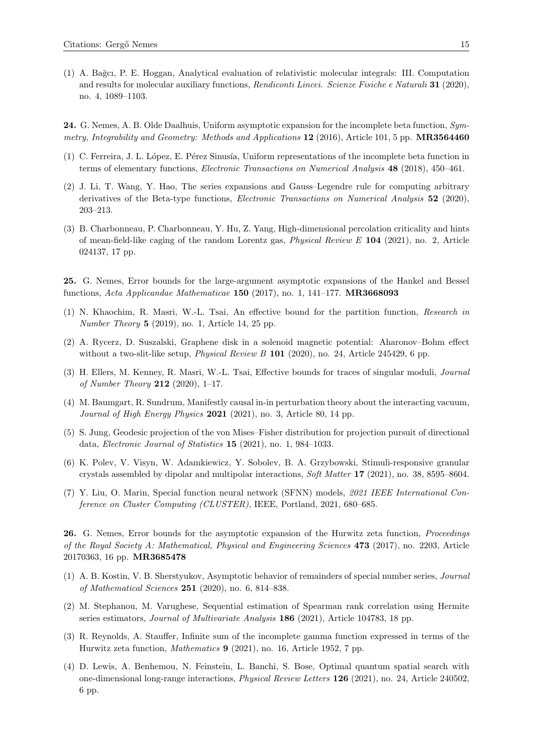(1) A. Ba˘gcı, P. E. Hoggan, Analytical evaluation of relativistic molecular integrals: III. Computation and results for molecular auxiliary functions, Rendiconti Lincei. Scienze Fisiche e Naturali 31 (2020), no. 4, 1089–1103.

24. G. Nemes, A. B. Olde Daalhuis, Uniform asymptotic expansion for the incomplete beta function, Symmetry, Integrability and Geometry: Methods and Applications 12 (2016), Article 101, 5 pp. MR3564460

- (1) C. Ferreira, J. L. L´opez, E. P´erez Sinus´ıa, Uniform representations of the incomplete beta function in terms of elementary functions, Electronic Transactions on Numerical Analysis 48 (2018), 450–461.
- (2) J. Li, T. Wang, Y. Hao, The series expansions and Gauss–Legendre rule for computing arbitrary derivatives of the Beta-type functions, Electronic Transactions on Numerical Analysis 52 (2020), 203–213.
- (3) B. Charbonneau, P. Charbonneau, Y. Hu, Z. Yang, High-dimensional percolation criticality and hints of mean-field-like caging of the random Lorentz gas, Physical Review E 104 (2021), no. 2, Article 024137, 17 pp.

25. G. Nemes, Error bounds for the large-argument asymptotic expansions of the Hankel and Bessel functions, Acta Applicandae Mathematicae 150 (2017), no. 1, 141–177. MR3668093

- (1) N. Khaochim, R. Masri, W.-L. Tsai, An effective bound for the partition function, Research in Number Theory 5 (2019), no. 1, Article 14, 25 pp.
- (2) A. Rycerz, D. Suszalski, Graphene disk in a solenoid magnetic potential: Aharonov–Bohm effect without a two-slit-like setup, *Physical Review B* 101 (2020), no. 24, Article 245429, 6 pp.
- (3) H. Ellers, M. Kenney, R. Masri, W.-L. Tsai, Effective bounds for traces of singular moduli, Journal of Number Theory 212 (2020),  $1-17$ .
- (4) M. Baumgart, R. Sundrum, Manifestly causal in-in perturbation theory about the interacting vacuum, Journal of High Energy Physics 2021 (2021), no. 3, Article 80, 14 pp.
- (5) S. Jung, Geodesic projection of the von Mises–Fisher distribution for projection pursuit of directional data, Electronic Journal of Statistics 15 (2021), no. 1, 984–1033.
- (6) K. Polev, V. Visyn, W. Adamkiewicz, Y. Sobolev, B. A. Grzybowski, Stimuli-responsive granular crystals assembled by dipolar and multipolar interactions, Soft Matter 17 (2021), no. 38, 8595–8604.
- (7) Y. Liu, O. Marin, Special function neural network (SFNN) models, 2021 IEEE International Conference on Cluster Computing (CLUSTER), IEEE, Portland, 2021, 680–685.

26. G. Nemes, Error bounds for the asymptotic expansion of the Hurwitz zeta function, Proceedings of the Royal Society A: Mathematical, Physical and Engineering Sciences 473 (2017), no. 2203, Article 20170363, 16 pp. MR3685478

- (1) A. B. Kostin, V. B. Sherstyukov, Asymptotic behavior of remainders of special number series, Journal of Mathematical Sciences 251 (2020), no. 6, 814–838.
- (2) M. Stephanou, M. Varughese, Sequential estimation of Spearman rank correlation using Hermite series estimators, *Journal of Multivariate Analysis* **186** (2021), Article 104783, 18 pp.
- (3) R. Reynolds, A. Stauffer, Infinite sum of the incomplete gamma function expressed in terms of the Hurwitz zeta function, Mathematics 9 (2021), no. 16, Article 1952, 7 pp.
- (4) D. Lewis, A. Benhemou, N. Feinstein, L. Banchi, S. Bose, Optimal quantum spatial search with one-dimensional long-range interactions, Physical Review Letters 126 (2021), no. 24, Article 240502, 6 pp.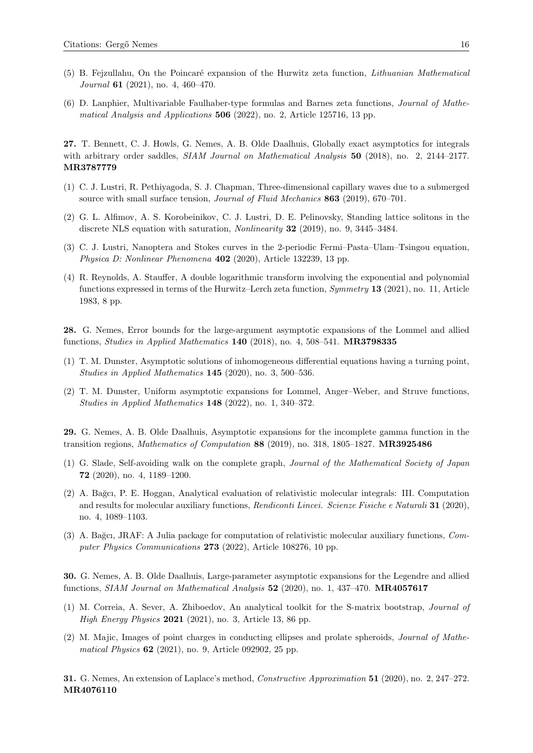- (5) B. Fejzullahu, On the Poincar´e expansion of the Hurwitz zeta function, Lithuanian Mathematical Journal **61** (2021), no. 4, 460-470.
- (6) D. Lanphier, Multivariable Faulhaber-type formulas and Barnes zeta functions, Journal of Mathematical Analysis and Applications  $506$  (2022), no. 2, Article 125716, 13 pp.

27. T. Bennett, C. J. Howls, G. Nemes, A. B. Olde Daalhuis, Globally exact asymptotics for integrals with arbitrary order saddles, SIAM Journal on Mathematical Analysis 50 (2018), no. 2, 2144–2177. MR3787779

- (1) C. J. Lustri, R. Pethiyagoda, S. J. Chapman, Three-dimensional capillary waves due to a submerged source with small surface tension, Journal of Fluid Mechanics 863 (2019), 670–701.
- (2) G. L. Alfimov, A. S. Korobeinikov, C. J. Lustri, D. E. Pelinovsky, Standing lattice solitons in the discrete NLS equation with saturation, Nonlinearity 32 (2019), no. 9, 3445–3484.
- (3) C. J. Lustri, Nanoptera and Stokes curves in the 2-periodic Fermi–Pasta–Ulam–Tsingou equation, Physica D: Nonlinear Phenomena 402 (2020), Article 132239, 13 pp.
- (4) R. Reynolds, A. Stauffer, A double logarithmic transform involving the exponential and polynomial functions expressed in terms of the Hurwitz–Lerch zeta function, *Symmetry* 13 (2021), no. 11, Article 1983, 8 pp.

28. G. Nemes, Error bounds for the large-argument asymptotic expansions of the Lommel and allied functions, Studies in Applied Mathematics 140 (2018), no. 4, 508–541. MR3798335

- (1) T. M. Dunster, Asymptotic solutions of inhomogeneous differential equations having a turning point, Studies in Applied Mathematics 145 (2020), no. 3, 500–536.
- (2) T. M. Dunster, Uniform asymptotic expansions for Lommel, Anger–Weber, and Struve functions, Studies in Applied Mathematics 148 (2022), no. 1, 340–372.

29. G. Nemes, A. B. Olde Daalhuis, Asymptotic expansions for the incomplete gamma function in the transition regions, Mathematics of Computation 88 (2019), no. 318, 1805–1827. MR3925486

- (1) G. Slade, Self-avoiding walk on the complete graph, Journal of the Mathematical Society of Japan 72 (2020), no. 4, 1189–1200.
- (2) A. Ba˘gcı, P. E. Hoggan, Analytical evaluation of relativistic molecular integrals: III. Computation and results for molecular auxiliary functions, Rendiconti Lincei. Scienze Fisiche e Naturali 31 (2020), no. 4, 1089–1103.
- (3) A. Ba˘gcı, JRAF: A Julia package for computation of relativistic molecular auxiliary functions, Computer Physics Communications 273 (2022), Article 108276, 10 pp.

30. G. Nemes, A. B. Olde Daalhuis, Large-parameter asymptotic expansions for the Legendre and allied functions, SIAM Journal on Mathematical Analysis 52 (2020), no. 1, 437–470. MR4057617

- (1) M. Correia, A. Sever, A. Zhiboedov, An analytical toolkit for the S-matrix bootstrap, Journal of High Energy Physics 2021 (2021), no. 3, Article 13, 86 pp.
- (2) M. Majic, Images of point charges in conducting ellipses and prolate spheroids, Journal of Mathematical Physics **62** (2021), no. 9, Article 092902, 25 pp.

31. G. Nemes, An extension of Laplace's method, Constructive Approximation 51 (2020), no. 2, 247–272. MR4076110